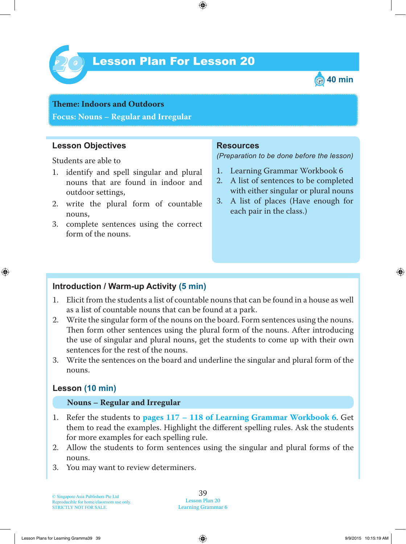

# Lesson Plan For Lesson 20 *20*



# **Teme : Indoors and Outdoors Focus: Nouns – Regular and Irregular**

### **Lesson Objectives**

Students are able to

- 1. identify and spell singular and plural nouns that are found in indoor and outdoor settings,
- 2. write the plural form of countable nouns,
- 3. complete sentences using the correct form of the nouns.

#### **Resources**

*(Preparation to be done before the lesson)*

- 1. Learning Grammar Workbook 6
- 2. A list of sentences to be completed with either singular or plural nouns
- 3. A list of places (Have enough for each pair in the class.)

#### **Introduction / Warm-up Activity (5 min)**

- 1 . Elicit from the students a list of countable nouns that can be found in a house as well as a list of countable nouns that can be found at a park.
- 2. Write the singular form of the nouns on the board. Form sentences using the nouns. Then form other sentences using the plural form of the nouns. After introducing the use of singular and plural nouns, get the students to come up with their own sentences for the rest of the nouns.
- 3. Write the sentences on the board and underline the singular and plural form of the nouns.

## **Lesson (10 min)**

#### **Nouns – Regular and Irregular**

- 1 . Refer the students to **pages 117 – 118 of Learning Grammar Workbook 6** . Get them to read the examples. Highlight the different spelling rules. Ask the students for more examples for each spelling rule.
- 2. Allow the students to form sentences using the singular and plural forms of the nouns.
- 3. You may want to review determiners.